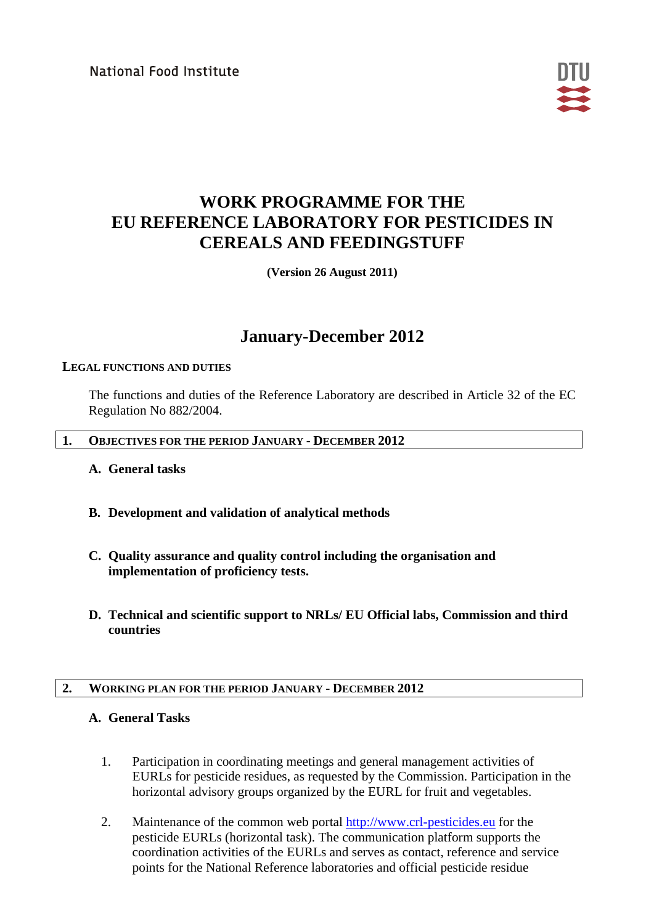National Food Institute



# **WORK PROGRAMME FOR THE EU REFERENCE LABORATORY FOR PESTICIDES IN CEREALS AND FEEDINGSTUFF**

**(Version 26 August 2011)**

## **January-December 2012**

## **LEGAL FUNCTIONS AND DUTIES**

The functions and duties of the Reference Laboratory are described in Article 32 of the EC Regulation No 882/2004.

#### **1. OBJECTIVES FOR THE PERIOD JANUARY - DECEMBER 2012**

- **A. General tasks**
- **B. Development and validation of analytical methods**
- **C. Quality assurance and quality control including the organisation and implementation of proficiency tests.**
- **D. Technical and scientific support to NRLs/ EU Official labs, Commission and third countries**

## **2. WORKING PLAN FOR THE PERIOD JANUARY - DECEMBER 2012**

## **A. General Tasks**

- 1. Participation in coordinating meetings and general management activities of EURLs for pesticide residues, as requested by the Commission. Participation in the horizontal advisory groups organized by the EURL for fruit and vegetables.
- 2. Maintenance of the common web portal [http://www.crl-pesticides.eu](http://www.crl-pesticides.eu/) for the pesticide EURLs (horizontal task). The communication platform supports the coordination activities of the EURLs and serves as contact, reference and service points for the National Reference laboratories and official pesticide residue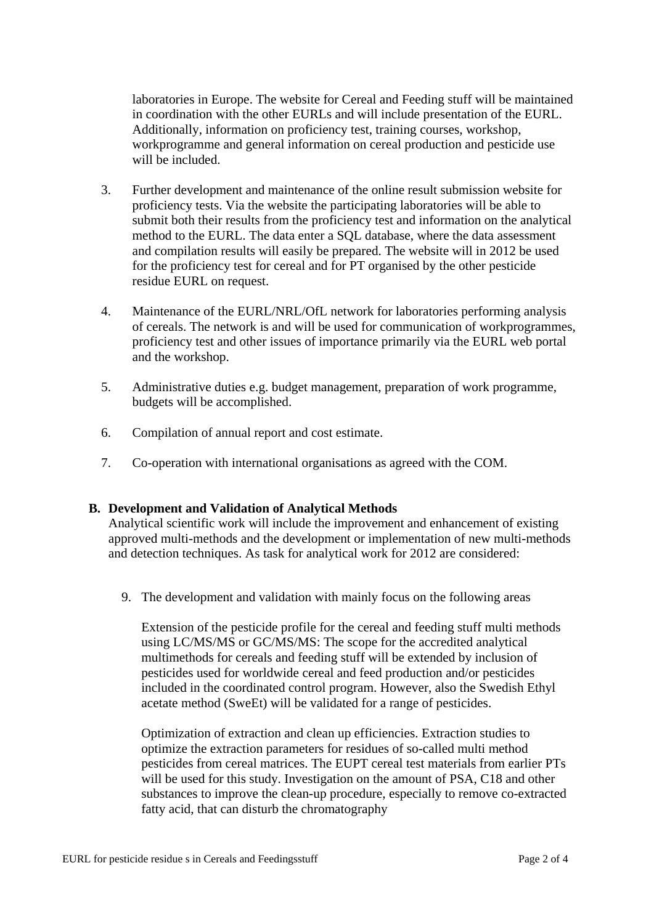laboratories in Europe. The website for Cereal and Feeding stuff will be maintained in coordination with the other EURLs and will include presentation of the EURL. Additionally, information on proficiency test, training courses, workshop, workprogramme and general information on cereal production and pesticide use will be included.

- 3. Further development and maintenance of the online result submission website for proficiency tests. Via the website the participating laboratories will be able to submit both their results from the proficiency test and information on the analytical method to the EURL. The data enter a SQL database, where the data assessment and compilation results will easily be prepared. The website will in 2012 be used for the proficiency test for cereal and for PT organised by the other pesticide residue EURL on request.
- 4. Maintenance of the EURL/NRL/OfL network for laboratories performing analysis of cereals. The network is and will be used for communication of workprogrammes, proficiency test and other issues of importance primarily via the EURL web portal and the workshop.
- 5. Administrative duties e.g. budget management, preparation of work programme, budgets will be accomplished.
- 6. Compilation of annual report and cost estimate.
- 7. Co-operation with international organisations as agreed with the COM.

## **B. Development and Validation of Analytical Methods**

Analytical scientific work will include the improvement and enhancement of existing approved multi-methods and the development or implementation of new multi-methods and detection techniques. As task for analytical work for 2012 are considered:

9. The development and validation with mainly focus on the following areas

Extension of the pesticide profile for the cereal and feeding stuff multi methods using LC/MS/MS or GC/MS/MS: The scope for the accredited analytical multimethods for cereals and feeding stuff will be extended by inclusion of pesticides used for worldwide cereal and feed production and/or pesticides included in the coordinated control program. However, also the Swedish Ethyl acetate method (SweEt) will be validated for a range of pesticides.

Optimization of extraction and clean up efficiencies. Extraction studies to optimize the extraction parameters for residues of so-called multi method pesticides from cereal matrices. The EUPT cereal test materials from earlier PTs will be used for this study. Investigation on the amount of PSA, C18 and other substances to improve the clean-up procedure, especially to remove co-extracted fatty acid, that can disturb the chromatography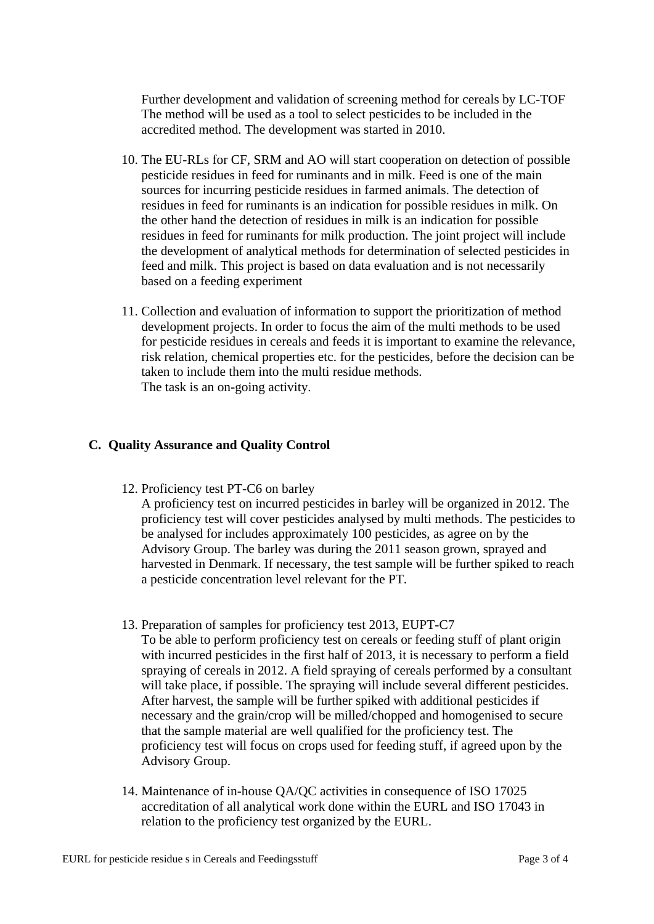Further development and validation of screening method for cereals by LC-TOF The method will be used as a tool to select pesticides to be included in the accredited method. The development was started in 2010.

- 10. The EU-RLs for CF, SRM and AO will start cooperation on detection of possible pesticide residues in feed for ruminants and in milk. Feed is one of the main sources for incurring pesticide residues in farmed animals. The detection of residues in feed for ruminants is an indication for possible residues in milk. On the other hand the detection of residues in milk is an indication for possible residues in feed for ruminants for milk production. The joint project will include the development of analytical methods for determination of selected pesticides in feed and milk. This project is based on data evaluation and is not necessarily based on a feeding experiment
- 11. Collection and evaluation of information to support the prioritization of method development projects. In order to focus the aim of the multi methods to be used for pesticide residues in cereals and feeds it is important to examine the relevance, risk relation, chemical properties etc. for the pesticides, before the decision can be taken to include them into the multi residue methods. The task is an on-going activity.

#### **C. Quality Assurance and Quality Control**

12. Proficiency test PT-C6 on barley

A proficiency test on incurred pesticides in barley will be organized in 2012. The proficiency test will cover pesticides analysed by multi methods. The pesticides to be analysed for includes approximately 100 pesticides, as agree on by the Advisory Group. The barley was during the 2011 season grown, sprayed and harvested in Denmark. If necessary, the test sample will be further spiked to reach a pesticide concentration level relevant for the PT.

- 13. Preparation of samples for proficiency test 2013, EUPT-C7 To be able to perform proficiency test on cereals or feeding stuff of plant origin with incurred pesticides in the first half of 2013, it is necessary to perform a field spraying of cereals in 2012. A field spraying of cereals performed by a consultant will take place, if possible. The spraying will include several different pesticides. After harvest, the sample will be further spiked with additional pesticides if necessary and the grain/crop will be milled/chopped and homogenised to secure that the sample material are well qualified for the proficiency test. The proficiency test will focus on crops used for feeding stuff, if agreed upon by the Advisory Group.
- 14. Maintenance of in-house QA/QC activities in consequence of ISO 17025 accreditation of all analytical work done within the EURL and ISO 17043 in relation to the proficiency test organized by the EURL.